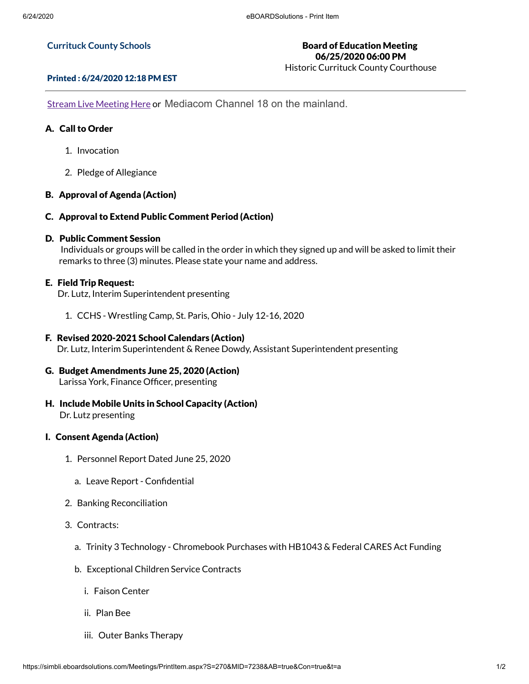#### **Currituck County Schools**

# Board of Education Meeting 06/25/2020 06:00 PM

Historic Currituck County Courthouse

### Printed : 6/24/2020 12:18 PM EST

**Stream Live [Meeting](http://currituckcountync.iqm2.com/Citizens/default.aspx) Here or Mediacom Channel 18 on the mainland.** 

# A. Call to Order

- 1. Invocation
- 2. Pledge of Allegiance

# B. Approval of Agenda (Action)

C. Approval to Extend Public Comment Period (Action)

# D. Public Comment Session

Individuals or groups will be called in the order in which they signed up and will be asked to limit their remarks to three (3) minutes. Please state your name and address.

# E. Field Trip Request:

Dr. Lutz, Interim Superintendent presenting

1. CCHS - Wrestling Camp, St. Paris, Ohio - July 12-16, 2020

# F. Revised 2020-2021 School Calendars (Action)

Dr. Lutz, Interim Superintendent & Renee Dowdy, Assistant Superintendent presenting

### G. Budget Amendments June 25, 2020 (Action) Larissa York, Finance Officer, presenting

H. Include Mobile Units in School Capacity (Action) Dr. Lutz presenting

### I. Consent Agenda (Action)

- 1. Personnel Report Dated June 25, 2020
	- a. Leave Report Confidential
- 2. Banking Reconciliation
- 3. Contracts:
	- a. Trinity 3 Technology Chromebook Purchases with HB1043 & Federal CARES Act Funding
	- b. Exceptional Children Service Contracts
		- i. Faison Center
		- ii. Plan Bee
		- iii. Outer Banks Therapy